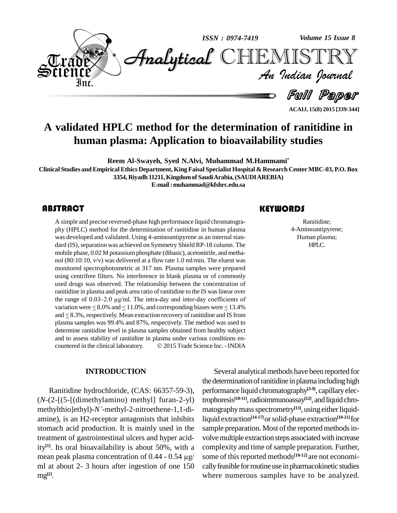

**A validated HPLC method for the determination of ranitidine in human plasma: Application to bioavailability studies**

**Reem Al-Swayeh, Syed N.Alvi, Muhammad M.Hammami\***

Clinical Studies and Empirical Ethics Department, King Faisal Specialist Hospital & Research Center MBC-03, P.O. Box

**3354, Riyadh 11211,Kingdomof SaudiArabia,(SAUDIAREBIA)**

**E-mail:[muhammad@kfshrc.edu.sa](mailto:muhammad@kfshrc.edu.sa)**

# **ABSTRACT**

A simple and precise rever<br>phy (HPLC) method for<br>was developed and valid A simple and precise reversed-phase high performance liquid chromatogra phy (HPLC) method for the determination of ranitidine in human plasma was developed and validated. Using 4-aminoantipyrene as an internal stan dard (IS), separation was achieved on Symmetry Shield RP-18 column. The mobile phase,  $0.02$  M potassium phosphate (dibasic), acetonitrile, and methanol (80:10:10, v/v) was delivered at a flow rate 1.0 ml/min. The eluent was monitored spectrophotometric at 317 nm. Plasma samples were prepared using centrifree filters. No interference in blank plasma or of commonly used drugs was observed. The relationship between the concentration of ranitidine in plasma and peak area ratio of ranitidine to the IS was linear over the range of  $0.03-2.0$   $\mu$ g/ml. The intra-day and inter-day coefficients of variation were  $< 8.0\%$  and  $< 11.0\%$ , and corresponding biases were  $< 13.4\%$ and  $\leq$  8.3%, respectively. Mean extraction recovery of ranitidine and IS from plasma samples was 99.4% and 87%, respectively. The method was used to determine ranitidine level in plasma samples obtained from healthy subject<br>and to assess stability of ranitidine in plasma under various conditions en-<br>countered in the clinical laboratory. © 2015 Trade Science Inc. - INDI and to assess stability of ranitidine in plasma under various conditions en-

#### **INTRODUCTION**

Ranitidine hydrochloride, (CAS: 66357-59-3), (*N*-(2-[(5-[(dimethylamino) methyl] furan-2-yl) methylthio]ethyl)-*Ní*-methyl-2-nitroethene-1,1-di amine), is an H2-receptor antagonists that inhibits stomach acid production. It is mainly used in the treatment of gastrointestinal ulcers and hyper acidity<sup>[1]</sup>. Its oral bioavailability is about 50%, with a comp treatment of gastrointestinal ulcers and hyper acid-<br>ity<sup>[1]</sup>. Its oral bioavailability is about 50%, with a concentration of 0.44 - 0.54  $\mu$ g/ son ml at about  $2-3$  hours after ingestion of one  $150$ mg **[2]**.

# **KEYWORDS**

Ranitidine;<br>4-Aminoantipyrene;<br>Human plasma; Ranitidine; 4-Aminoantipyrene; HPLC.

**ACAIJ, 15(8) 2015 [339-344]**

Several analytical methods have been reported for the determination of ranitidine in plasma including high performance liquid chromatography **[3-9]**, capillaryelectrophoresis<sup>[10-11]</sup>, radioimmunoassay<sup>[12]</sup>, and liquid chromatography mass spectrometry<sup>[13]</sup>, using either liquidliquid extraction **[14-17]**orsolid-phase extraction **[18-21]**for sample preparation. Most of the reported methods involve multiple extraction steps associated with increase complexity and time of sample preparation. Further, some of this reported methods<sup>[10-12]</sup> are not economically feasible for routine use in pharmacokinetic studies where numerous samples have to be analyzed.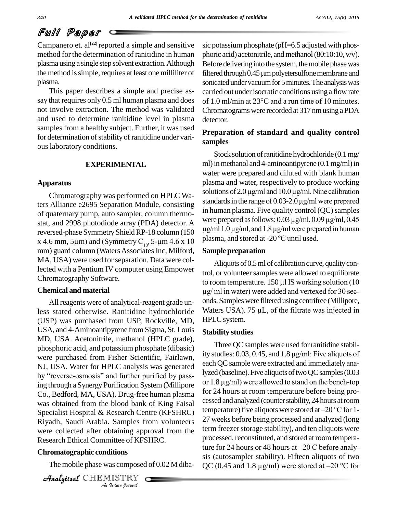# Full Paper

Campanero et. al<sup>[22]</sup> reported a simple and sensitive sic po method for the determination of ranitidine in human plasma usinga single step solvent extraction.Although the method is simple, requires at least one milliliter of filtered through 0.45 µm polyetersulfone membrane and plasma.

This paper describes a simple and precise as say that requires only 0.5 ml human plasma and does of 1.0 ml/min at  $23^{\circ}$ C and a run time of 10 minutes. not involve extraction. The method was validated and used to determine ranitidine level in plasma samples from a healthy subject. Further, it was used for determination of stability of ranitidine under various laboratory conditions.

#### **EXPERIMENTAL**

## **Apparatus**

ters Alliance e2695 Separation Module, consisting of quaternary pump, auto sampler, column thermo-<br>state and 2008 photodiode array ( $PDA$ ) detector  $\Lambda$  were prepared as follows: 0.03  $\mu$ g/ml, 0.09  $\mu$ g/ml, 0.45 stat, and 2998 photodiode array (PDA) detector. A reversed-phase Symmetry Shield RP-18 column (150 <sup>pg/mm</sup> stat, and 2998 photodiode array (PDA) detector. A<br>reversed-phase Symmetry Shield RP-18 column (150  $\mu$ g/ml 1<br>x 4.6 mm, 5 $\mu$ m) and (Symmetry C<sub>18</sub>, 5- $\mu$ m 4.6 x 10 plasma mm) guard column (Waters Associates Inc, Milford, MA, USA) were used for separation. Data were collected with a Pentium IV computer using Empower Chromatography Software.

#### **Chemical and material**

were collected after obtaining approval from the term in *Indianing app*<br>*Inittee of KFS*<br>*IISTRY*<br>*IISTRY* All reagents were of analytical-reagent grade unless stated otherwise. Ranitidine hydrochloride (USP) was purchased from USP, Rockville, MD, USA, and 4-Aminoantipyrene from Sigma, St. Louis MD, USA. Acetonitrile, methanol (HPLC grade), phosphoric acid, and potassium phosphate (dibasic) were purchased from Fisher Scientific, Fairlawn, <sup>11</sup><br>NJ, USA. Water for HPLC analysis was generated ea<br>by "reverse-osmosis" and further purified by pass-NJ, USA. Water for HPLC analysis was generated ing through a Synergy Purification System (Millipore or  $1.8 \mu\text{g/ml}$ ) were allowed to stand on the bench-top Co., Bedford, MA, USA). Drug-free human plasma was obtained from the blood bank of King Faisal Specialist Hospital & Research Centre (KFSHRC) Riyadh, Saudi Arabia. Samples from volunteers Research Ethical Committee of KFSHRC.

## **Chromatographic conditions**

CHEMISTRY

sic potassium phosphate ( $pH=6.5$  adjusted with phosphoric acid) acetonitrile, and methanol (80:10:10,  $v/v$ ). Before delivering into the system, the mobile phase was phoric acid) acetonitrile, and methanol (80:10:10, v/v).<br>Before delivering into the system, the mobile phase was<br>filtered through 0.45 µm polyetersulfone membrane and sonicated under vacuum for 5 minutes. The analysis was<br>carried out under isocratic conditions using a flow rate<br>of 1.0 ml/min at 23°C and a run time of 10 minutes. carried out underisocratic conditions using a flow rate Chromatogramswere recorded at 317 nmusingaPDA detector.

# **Preparation of standard and quality control samples**

Chromatography was performed on HPLC Wa-<br>solutions of 2.0  $\mu$ g/ml and 10.0  $\mu$ g/ml. Nine calibration Stock solution of ranitidine hydrochloride (0.1 mg/ ml) in methanol and 4-aminoantipyrene  $(0.1 \text{ mg/ml})$  in water were prepared and diluted with blank human plasma and water, respectively to produce working water were prepared and diluted with blank human<br>plasma and water, respectively to produce working<br>solutions of  $2.0 \,\mu\text{g/ml}$  and  $10.0 \,\mu\text{g/ml}$ . Nine calibration plasma and water, respectively to produce working<br>solutions of  $2.0 \,\mu\text{g/ml}$  and  $10.0 \,\mu\text{g/ml}$ . Nine calibration<br>standards in the range of  $0.03$ - $2.0 \,\mu\text{g/ml}$  were prepared in human plasma. Five quality control (QC) samples standards in the range of 0.03-2.0 µg/ml were prepared<br>in human plasma. Five quality control (QC) samples<br>were prepared as follows: 0.03 µg/ml, 0.09 µg/ml, 0.45  $\mu$ g/ml 1.0  $\mu$ g/ml, and 1.8  $\mu$ g/ml were prepared in human plasma, and stored at -20 °C until used.

## **Sample preparation**

Aliquots of 0.5 ml of calibration curve, quality control, or volunteer samples were allowed to equilibrate Aliquots of 0.5 ml of calibration curve, quality control, or volunteer samples were allowed to equilibrate<br>to room temperature. 150 µl IS working solution (10 %, or volunteer samples were allowed to equilibrate<br>
bom temperature.  $150 \mu$  IS working solution (10<br>
ml in water) were added and vertexed for 30 seconds. Samples were filtered using centrifree (Millipore,  $\mu$ g/ ml in water) were added and vertexed for 30 seconds. Samples were filtered using centrifree (Millipore, Waters USA). 75  $\mu$ L, of the filtrate was injected in HPLC system.

# **Stability studies**

The mobile phase was composed of 0.02 M diba- QC (0.45 and 1.8  $\mu$ g/ml) were stored at -20 °C for Three QC samples were used for ranitidine stability studies: 0.03, 0.45, and 1.8 µg/ml: Five aliquots of each QC sample were extracted and immediately analyzed (baseline). Five aliquots of two QC samples (0.03 each QC sample were extracted and immediately ana-<br>lyzed (baseline). Five aliquots of two QC samples (0.03<br>or 1.8 µg/ml) were allowed to stand on the bench-top for 24 hours at room temperature before being pro cessed and analyzed (counter stability, 24 hours at room temperature) five aliquots were stored at  $-20$  °C for 1-27 weeks before being processed and analyzed (long term freezer storage stability), and ten aliquots were processed, reconstituted, and stored at room temperaterm freezer storage stability), and ten aliquots were<br>processed, reconstituted, and stored at room tempera-<br>ture for 24 hours or 48 hours at –20 C before analysis (autosampler stability). Fifteen aliquots of two ture for 24 hours or 48 hours at  $-20$  C before analy-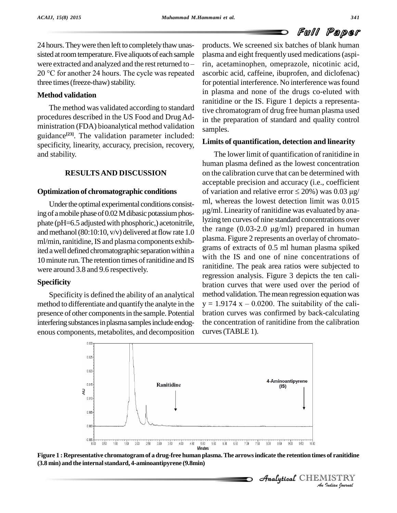# Full Paper

24 hours. They were then left to completely thaw unassisted at room temperature. Five aliquots of each sample 24 hours. They were then left to completely thaw unas-<br>sisted at room temperature. Five aliquots of each sample plasma<br>were extracted and analyzed and the rest returned to – in, ac sisted at room temperature. Five aliquots of each sample plasma<br>were extracted and analyzed and the rest returned to  $-$  rin, ac<br>20 °C for another 24 hours. The cycle was repeated ascorb three times (freeze-thaw) stability.

# **Method validation**

The method was validated according to standard procedures described in the US Food and Drug Administration (FDA) bioanalytical method validation guidance<sup>[23]</sup>. The validation parameter included: specificity, linearity, accuracy, precision, recovery, and stability.

# **RESULTSAND DISCUSSION**

# **Optimization of chromatographic conditions**

Under the optimal experimental conditions consisting of a mobile phase of 0.02 M dibasic potassium phosand methanol (80:10:10,  $v/v$ ) delivered at flow rate 1.0 ml/min, ranitidine, IS and plasma components exhibited a well defined chromatographic separation within a 10 minute run. The retention times of ranitidine and IS were around 3.8 and 9.6 respectively.

# **Specificity**

Specificity is defined the ability of an analytical method to differentiate and quantify the analyte in the  $y = 1.9174 x - 0.0200$ . The suitability of the calipresence of other components in the sample. Potential interfering substances in plasma samples include endogenous components, metabolites, and decomposition

products. We screened six batches of blank human plasma and eight frequently used medications(aspirin, acetaminophen, omeprazole, nicotinic acid, ascorbic acid, caffeine, ibuprofen, and diclofenac) for potential interference. No interference was found in plasma and none of the drugs co-eluted with ranitidine or the IS. Figure 1 depicts a representative chromatogram of drug free human plasma used in the preparation of standard and quality control samples.

# **Limits of quantification, detection and linearity**

phate (pH=6.5 adjusted with phosphoric,) acetonitrile, yighlare curves of fine standard concentrations over<br>and method (80:10:10, y/y) delivered at flow rate 1.0 the range (0.03-2.0 µg/ml) prepared in human The lower limit of quantification of ranitidine in human plasma defined as the lowest concentration on the calibration curve that can be determined with acceptable precision and accuracy (i.e., coefficient on the calibration curve that can be determined with<br>acceptable precision and accuracy (i.e., coefficient<br>of variation and relative error  $\leq 20\%$ ) was 0.03  $\mu$ g/ ml, whereas the lowest detection limit was 0.015 of variation and relative error  $\leq 20\%$ ) was 0.03  $\mu$ g/ g/ml. Linearity of ranitidine was evaluated by analyzing ten curves of nine standard concentrations over  $\mu$ g/ml. Linearity of ranitidine was evaluated by analyzing ten curves of nine standard concentrations over<br>the range (0.03-2.0  $\mu$ g/ml) prepared in human plasma. Figure 2 represents an overlay of chromato grams of extracts of 0.5 ml human plasma spiked with the IS and one of nine concentrations of ranitidine. The peak area ratios were subjected to regression analysis. Figure 3 depicts the ten cali bration curves that were used over the period of method validation. The mean regression equation was  $y = 1.9174 \text{ x} - 0.0200$ . The suitability of the calimethod validation. The mean regression equation was bration curves was confirmed by back-calculating the concentration of ranitidine from the calibration curves(TABLE 1).





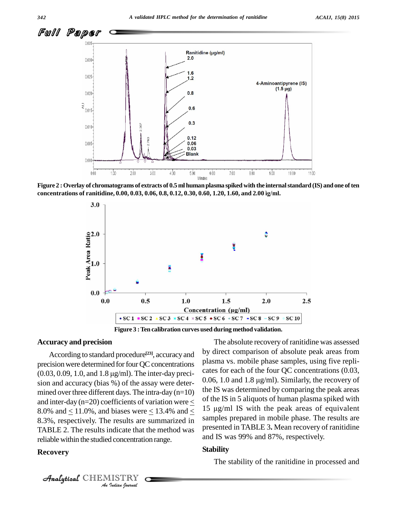

Figure 2 : Overlay of chromatograms of extracts of 0.5 ml human plasma spiked with the internal standard (IS) and one of ten **concentrations of ranitidine, 0.00, 0.03, 0.06, 0.8, 0.12, 0.30, 0.60, 1.20, 1.60, and 2.00 Ïg/ml.**



**Figure 3 :Ten calibration curves used during method validation.**

# **Accuracy and precision**

TABLE 2. The results indicate that the method was  $\frac{\text{pres}}{\text{and}}$ **I**<br>**I** concentration<br>Indian spurmal According to standard procedure<sup>[23]</sup>, accuracy and <sup>by dire</sup> precision were determined for four QC concentrations Plast According to standard procedure<sup>[23]</sup>, accuracy and<br>precision were determined for four QC concentrations plas<br> $(0.03, 0.09, 1.0,$  and  $1.8 \mu g/ml)$ . The inter-day precision and accuracy (bias  $\frac{6}{3}$ ) of the assay were deter-<br>0.06, 1.0 and 1.8  $\mu$ g/ml). Similarly, the recovery of mined over three different days. The intra-day  $(n=10)$ and inter-day ( $n=20$ ) coefficients of variation were  $\lt$ 8.0% and  $< 11.0$ %, and biases were  $< 13.4$ % and  $<$ 8.3%, respectively. The results are summarized in reliablewithin the studied concentration range.

## **Recovery**

by direct comparison of absolute peak areas from plasma vs.mobile phase samples, using five repli cates for each of the four QC concentrations (0.03, plasma vs. mobile phase samples, using five replicates for each of the four QC concentrations (0.03, 0.06, 1.0 and 1.8  $\mu$ g/ml). Similarly, the recovery of the IS was determined by comparing the peak areas of the IS in 5 aliquots of human plasma spiked with 15  $\mu$ g/ml IS with the peak areas of equivalent samples prepared in mobile phase. The results are presented in TABLE 3**.** Mean recovery of ranitidine and IS was 99% and 87%, respectively.

The absolute recovery of ranitidine was assessed

#### **Stability**

The stability of the ranitidine in processed and

CHEMISTRY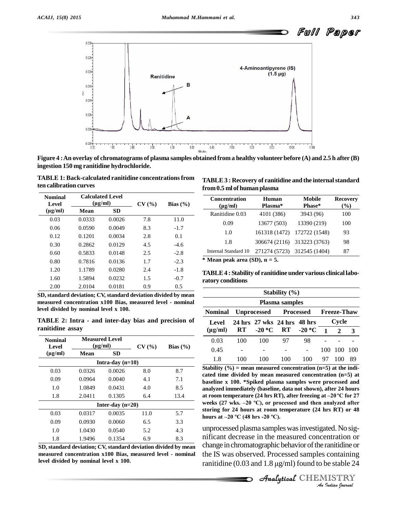

Figure 4 : An overlay of chromatograms of plasma samples obtained from a healthy volunteer before (A) and 2.5 h after (B) **ingestion 150 mg ranitidine hydrochloride.**

**TABLE 1: Back-calculated ranitidine concentrationsfrom ten calibration curves**

| <b>Nominal</b><br>Level |        | <b>Calculated Level</b><br>$(\mu g/ml)$ | CV(%) | Bias $(\% )$ |
|-------------------------|--------|-----------------------------------------|-------|--------------|
| $(\mu g/ml)$            | Mean   | <b>SD</b>                               |       |              |
| 0.03                    | 0.0333 | 0.0026                                  | 7.8   | 11.0         |
| 0.06                    | 0.0590 | 0.0049                                  | 8.3   | $-1.7$       |
| 0.12                    | 0.1201 | 0.0034                                  | 2.8   | 0.1          |
| 0.30                    | 0.2862 | 0.0129                                  | 4.5   | $-4.6$       |
| 0.60                    | 0.5833 | 0.0148                                  | 2.5   | $-2.8$       |
| 0.80                    | 0.7816 | 0.0136                                  | 1.7   | $-2.3$       |
| 1.20                    | 1.1789 | 0.0280                                  | 2.4   | $-1.8$       |
| 1.60                    | 1.5894 | 0.0232                                  | 1.5   | $-0.7$       |
| 2.00                    | 2.0104 | 0.0181                                  | 0.9   | 0.5          |

**SD, standard deviation; CV, standard deviation divided by mean measured concentration x100 Bias, measured level - nominal level divided by nominal level x 100.**

**TABLE 2: Intra - and inter-day bias and precision of ranitidine assay**

| <b>Nominal</b><br><b>Level</b> |        | <b>Measured Level</b><br>$(\mu \mathbf{g}/\mathbf{m})$ | CV(%) | Bias $(\% )$ |
|--------------------------------|--------|--------------------------------------------------------|-------|--------------|
| $(\mu g/ml)$                   | Mean   | <b>SD</b>                                              |       |              |
|                                |        | Intra-day $(n=10)$                                     |       |              |
| 0.03                           | 0.0326 | 0.0026                                                 | 8.0   | 8.7          |
| 0.09                           | 0.0964 | 0.0040                                                 | 4.1   | 7.1          |
| 1.0                            | 1.0849 | 0.0431                                                 | 4.0   | 8.5          |
| 1.8                            | 2.0411 | 0.1305                                                 | 6.4   | 13.4         |
|                                |        | Inter-day $(n=20)$                                     |       |              |
| 0.03                           | 0.0317 | 0.0035                                                 | 11.0  | 5.7          |
| 0.09                           | 0.0930 | 0.0060                                                 | 6.5   | 3.3          |
| 1.0                            | 1.0430 | 0.0540                                                 | 5.2   | 4.3          |
| 1.8                            | 1.9496 | 0.1354                                                 | 6.9   | 8.3          |

**SD, standard deviation; CV, standard deviation divided by mean measured concentration x100 Bias, measured level - nominal level divided by nominal level x 100.**

**TABLE3 : Recovery of ranitidine and the internalstandard**

| <b>Concentration</b><br>$(\mu g/ml)$ | Human<br>Plasma* | Mobile<br>Phase*            | <b>Recovery</b><br>(%) |  |
|--------------------------------------|------------------|-----------------------------|------------------------|--|
| Ranitidine 0.03                      | 4101 (386)       | 3943 (96)                   | 100                    |  |
| 0.09                                 | 13677 (503)      | 13390 (219)                 | 100                    |  |
| 1.0                                  | 161318 (1472)    | 172722 (1548)               | 93                     |  |
| 1.8                                  |                  | 306674 (2116) 313223 (3763) | 98                     |  |
| Internal Standard 10                 |                  | 271274 (5723) 312545 (1404) | 87                     |  |

**\* Mean peak area (SD), n = 5.**

**TABLE4 : Stability of ranitidine under various clinical labo ratory conditions**

| Stability $(\% )$<br>Plasma samples |                             |                         |     |     |                |                |                                   |  |  |  |  |
|-------------------------------------|-----------------------------|-------------------------|-----|-----|----------------|----------------|-----------------------------------|--|--|--|--|
|                                     |                             |                         |     |     |                | <b>Nominal</b> | Unprocessed Processed Freeze-Thaw |  |  |  |  |
| Level                               | 24 hrs 27 wks 24 hrs 48 hrs |                         |     |     | Cycle          |                |                                   |  |  |  |  |
| $(\mu g/ml)$                        |                             | RT $-20 °C$ RT $-20 °C$ |     |     | $\blacksquare$ | $\overline{2}$ | $\overline{\mathbf{3}}$           |  |  |  |  |
| 0.03                                | 100                         | 100                     | 97  | 98  |                |                |                                   |  |  |  |  |
| 0.45                                |                             |                         |     |     | 100            | 100            | 100                               |  |  |  |  |
| 1.8                                 |                             | 100                     | 100 | 100 | 97             |                | 89                                |  |  |  |  |

**Stability (%) = mean measured concentration (n=5) at the indi cated time divided by mean measured concentration (n=5) at baseline x 100. \*Spiked plasma samples were processed and analyzed immediately (baseline, data not shown), after 24 hours haseline x 100. \*Spiked plasma samples were processed and analyzed immediately (baseline, data not shown), after 24 hours at room temperature (24 hrs RT), after freezing at –20 °C for 27** analyzed immediately (baseline, data not shown), after 24 hours<br>at room temperature (24 hrs RT), after freezing at –20 °C for 27<br>weeks (27 wks. –20 °C), or processed and then analyzed after **storing for 24 hours at room temperature (24 hrs RT) or 48** weeks (27 wks.  $-20$  °C), or processed and then analyzed after storing for 24 hours at room temperature (24 hrs RT) or 48 hours at  $-20$  °C (48 hrs  $-20$  °C).

*An*unprocessed plasma sampleswasinvestigated.No sig- *I*<br>**Indian** or<br>**Indiance**<br>**I**<br>**ISTRY**<br>*Indian bournal* Analytical decrease in the measured concentration or change in chromatographic behavior of the ranitidine or the IS was observed. Processed samples containing ranitidine (0.03 and 1.8  $\mu$ g/ml) found to be stable 24